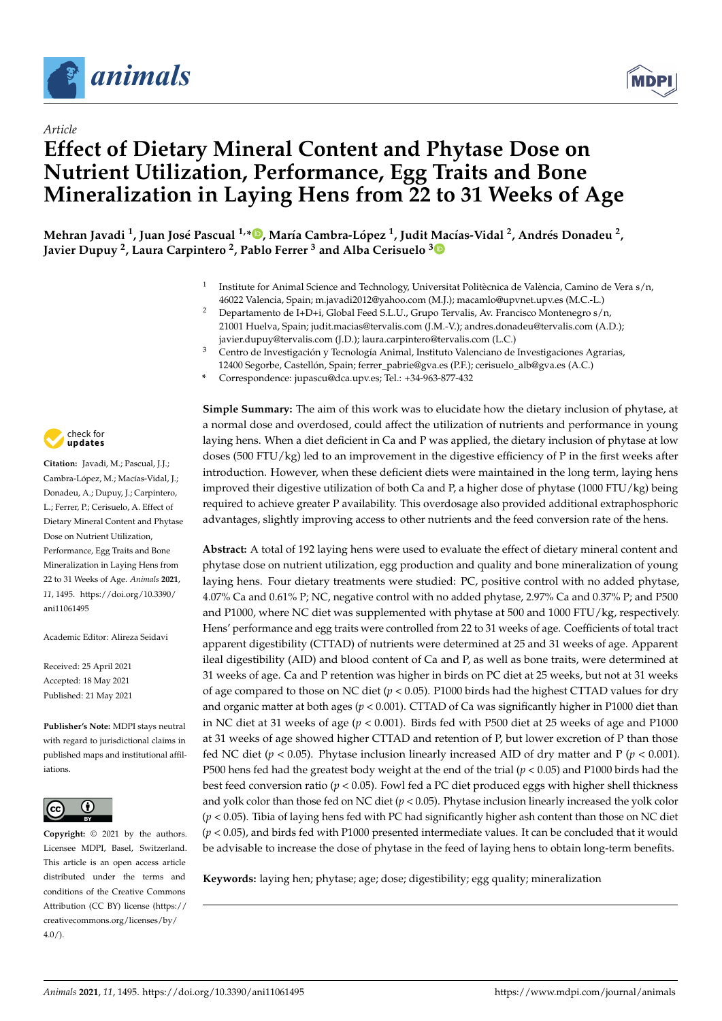

*Article*



# **Effect of Dietary Mineral Content and Phytase Dose on Nutrient Utilization, Performance, Egg Traits and Bone Mineralization in Laying Hens from 22 to 31 Weeks of Age**

Mehran Javadi <sup>1</sup>[,](https://orcid.org/0000-0002-7224-9978) Juan José Pascual <sup>1,</sup>\*®, María Cambra-López <sup>1</sup>, Judit Macías-Vidal <sup>2</sup>, Andrés Donadeu <sup>2</sup>, **Javier Dupuy <sup>2</sup> , Laura Carpintero <sup>2</sup> , Pablo Ferrer <sup>3</sup> and Alba Cerisuelo [3](https://orcid.org/0000-0002-3545-6978)**

- 1 Institute for Animal Science and Technology, Universitat Politècnica de València, Camino de Vera s/n, 46022 Valencia, Spain; m.javadi2012@yahoo.com (M.J.); macamlo@upvnet.upv.es (M.C.-L.)
- <sup>2</sup> Departamento de I+D+i, Global Feed S.L.U., Grupo Tervalis, Av. Francisco Montenegro s/n, 21001 Huelva, Spain; judit.macias@tervalis.com (J.M.-V.); andres.donadeu@tervalis.com (A.D.); javier.dupuy@tervalis.com (J.D.); laura.carpintero@tervalis.com (L.C.)
- <sup>3</sup> Centro de Investigación y Tecnología Animal, Instituto Valenciano de Investigaciones Agrarias, 12400 Segorbe, Castellón, Spain; ferrer\_pabrie@gva.es (P.F.); cerisuelo\_alb@gva.es (A.C.)
- **\*** Correspondence: jupascu@dca.upv.es; Tel.: +34-963-877-432



**Citation:** Javadi, M.; Pascual, J.J.; Cambra-López, M.; Macías-Vidal, J.; Donadeu, A.; Dupuy, J.; Carpintero, L.; Ferrer, P.; Cerisuelo, A. Effect of Dietary Mineral Content and Phytase Dose on Nutrient Utilization, Performance, Egg Traits and Bone Mineralization in Laying Hens from 22 to 31 Weeks of Age. *Animals* **2021**, *11*, 1495. [https://doi.org/10.3390/](https://doi.org/10.3390/ani11061495) [ani11061495](https://doi.org/10.3390/ani11061495)

Academic Editor: Alireza Seidavi

Received: 25 April 2021 Accepted: 18 May 2021 Published: 21 May 2021

**Publisher's Note:** MDPI stays neutral with regard to jurisdictional claims in published maps and institutional affiliations.



**Copyright:** © 2021 by the authors. Licensee MDPI, Basel, Switzerland. This article is an open access article distributed under the terms and conditions of the Creative Commons Attribution (CC BY) license (https:/[/](https://creativecommons.org/licenses/by/4.0/) [creativecommons.org/licenses/by/](https://creativecommons.org/licenses/by/4.0/) 4.0/).

**Simple Summary:** The aim of this work was to elucidate how the dietary inclusion of phytase, at a normal dose and overdosed, could affect the utilization of nutrients and performance in young laying hens. When a diet deficient in Ca and P was applied, the dietary inclusion of phytase at low doses (500 FTU/kg) led to an improvement in the digestive efficiency of P in the first weeks after introduction. However, when these deficient diets were maintained in the long term, laying hens improved their digestive utilization of both Ca and P, a higher dose of phytase (1000 FTU/kg) being required to achieve greater P availability. This overdosage also provided additional extraphosphoric advantages, slightly improving access to other nutrients and the feed conversion rate of the hens.

**Abstract:** A total of 192 laying hens were used to evaluate the effect of dietary mineral content and phytase dose on nutrient utilization, egg production and quality and bone mineralization of young laying hens. Four dietary treatments were studied: PC, positive control with no added phytase, 4.07% Ca and 0.61% P; NC, negative control with no added phytase, 2.97% Ca and 0.37% P; and P500 and P1000, where NC diet was supplemented with phytase at 500 and 1000 FTU/kg, respectively. Hens' performance and egg traits were controlled from 22 to 31 weeks of age. Coefficients of total tract apparent digestibility (CTTAD) of nutrients were determined at 25 and 31 weeks of age. Apparent ileal digestibility (AID) and blood content of Ca and P, as well as bone traits, were determined at 31 weeks of age. Ca and P retention was higher in birds on PC diet at 25 weeks, but not at 31 weeks of age compared to those on NC diet (*p* < 0.05). P1000 birds had the highest CTTAD values for dry and organic matter at both ages (*p* < 0.001). CTTAD of Ca was significantly higher in P1000 diet than in NC diet at 31 weeks of age (*p* < 0.001). Birds fed with P500 diet at 25 weeks of age and P1000 at 31 weeks of age showed higher CTTAD and retention of P, but lower excretion of P than those fed NC diet (*p* < 0.05). Phytase inclusion linearly increased AID of dry matter and P (*p* < 0.001). P500 hens fed had the greatest body weight at the end of the trial ( $p < 0.05$ ) and P1000 birds had the best feed conversion ratio ( $p < 0.05$ ). Fowl fed a PC diet produced eggs with higher shell thickness and yolk color than those fed on NC diet (*p* < 0.05). Phytase inclusion linearly increased the yolk color (*p* < 0.05). Tibia of laying hens fed with PC had significantly higher ash content than those on NC diet (*p* < 0.05), and birds fed with P1000 presented intermediate values. It can be concluded that it would be advisable to increase the dose of phytase in the feed of laying hens to obtain long-term benefits.

**Keywords:** laying hen; phytase; age; dose; digestibility; egg quality; mineralization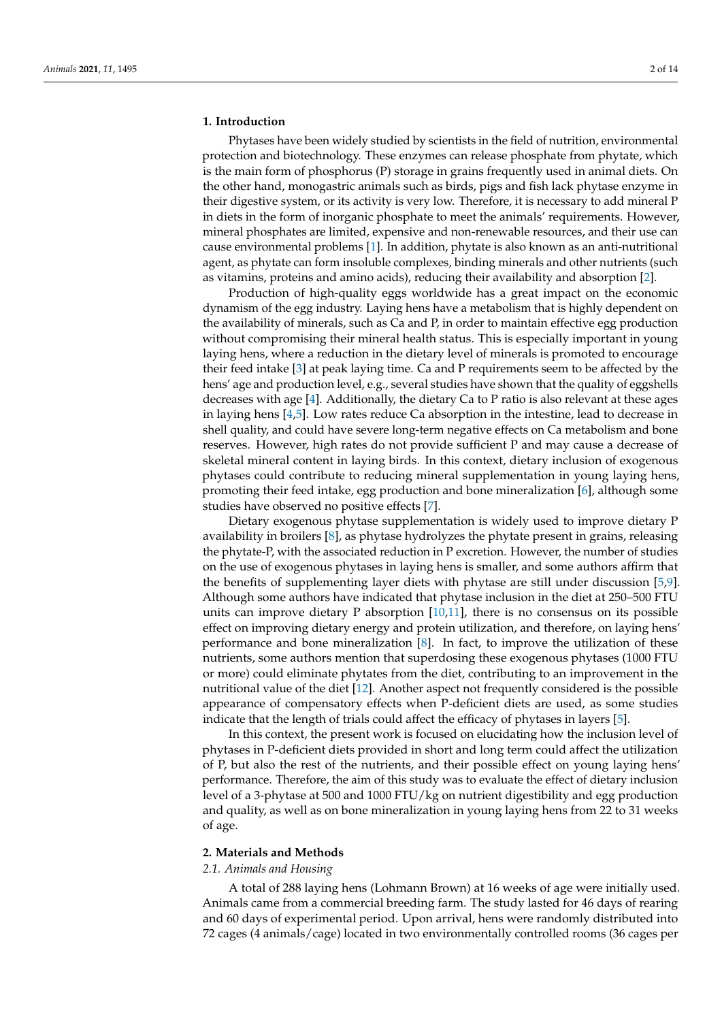#### **1. Introduction**

Phytases have been widely studied by scientists in the field of nutrition, environmental protection and biotechnology. These enzymes can release phosphate from phytate, which is the main form of phosphorus (P) storage in grains frequently used in animal diets. On the other hand, monogastric animals such as birds, pigs and fish lack phytase enzyme in their digestive system, or its activity is very low. Therefore, it is necessary to add mineral P in diets in the form of inorganic phosphate to meet the animals' requirements. However, mineral phosphates are limited, expensive and non-renewable resources, and their use can cause environmental problems [\[1\]](#page-11-0). In addition, phytate is also known as an anti-nutritional agent, as phytate can form insoluble complexes, binding minerals and other nutrients (such as vitamins, proteins and amino acids), reducing their availability and absorption [\[2\]](#page-11-1).

Production of high-quality eggs worldwide has a great impact on the economic dynamism of the egg industry. Laying hens have a metabolism that is highly dependent on the availability of minerals, such as Ca and P, in order to maintain effective egg production without compromising their mineral health status. This is especially important in young laying hens, where a reduction in the dietary level of minerals is promoted to encourage their feed intake [\[3\]](#page-11-2) at peak laying time. Ca and P requirements seem to be affected by the hens' age and production level, e.g., several studies have shown that the quality of eggshells decreases with age [\[4\]](#page-11-3). Additionally, the dietary Ca to P ratio is also relevant at these ages in laying hens [\[4,](#page-11-3)[5\]](#page-11-4). Low rates reduce Ca absorption in the intestine, lead to decrease in shell quality, and could have severe long-term negative effects on Ca metabolism and bone reserves. However, high rates do not provide sufficient P and may cause a decrease of skeletal mineral content in laying birds. In this context, dietary inclusion of exogenous phytases could contribute to reducing mineral supplementation in young laying hens, promoting their feed intake, egg production and bone mineralization [\[6\]](#page-11-5), although some studies have observed no positive effects [\[7\]](#page-11-6).

Dietary exogenous phytase supplementation is widely used to improve dietary P availability in broilers [\[8\]](#page-11-7), as phytase hydrolyzes the phytate present in grains, releasing the phytate-P, with the associated reduction in P excretion. However, the number of studies on the use of exogenous phytases in laying hens is smaller, and some authors affirm that the benefits of supplementing layer diets with phytase are still under discussion [\[5,](#page-11-4)[9\]](#page-11-8). Although some authors have indicated that phytase inclusion in the diet at 250–500 FTU units can improve dietary P absorption  $[10,11]$  $[10,11]$ , there is no consensus on its possible effect on improving dietary energy and protein utilization, and therefore, on laying hens' performance and bone mineralization [\[8\]](#page-11-7). In fact, to improve the utilization of these nutrients, some authors mention that superdosing these exogenous phytases (1000 FTU or more) could eliminate phytates from the diet, contributing to an improvement in the nutritional value of the diet [\[12\]](#page-11-11). Another aspect not frequently considered is the possible appearance of compensatory effects when P-deficient diets are used, as some studies indicate that the length of trials could affect the efficacy of phytases in layers [\[5\]](#page-11-4).

In this context, the present work is focused on elucidating how the inclusion level of phytases in P-deficient diets provided in short and long term could affect the utilization of P, but also the rest of the nutrients, and their possible effect on young laying hens' performance. Therefore, the aim of this study was to evaluate the effect of dietary inclusion level of a 3-phytase at 500 and 1000 FTU/kg on nutrient digestibility and egg production and quality, as well as on bone mineralization in young laying hens from 22 to 31 weeks of age.

#### **2. Materials and Methods**

# *2.1. Animals and Housing*

A total of 288 laying hens (Lohmann Brown) at 16 weeks of age were initially used. Animals came from a commercial breeding farm. The study lasted for 46 days of rearing and 60 days of experimental period. Upon arrival, hens were randomly distributed into 72 cages (4 animals/cage) located in two environmentally controlled rooms (36 cages per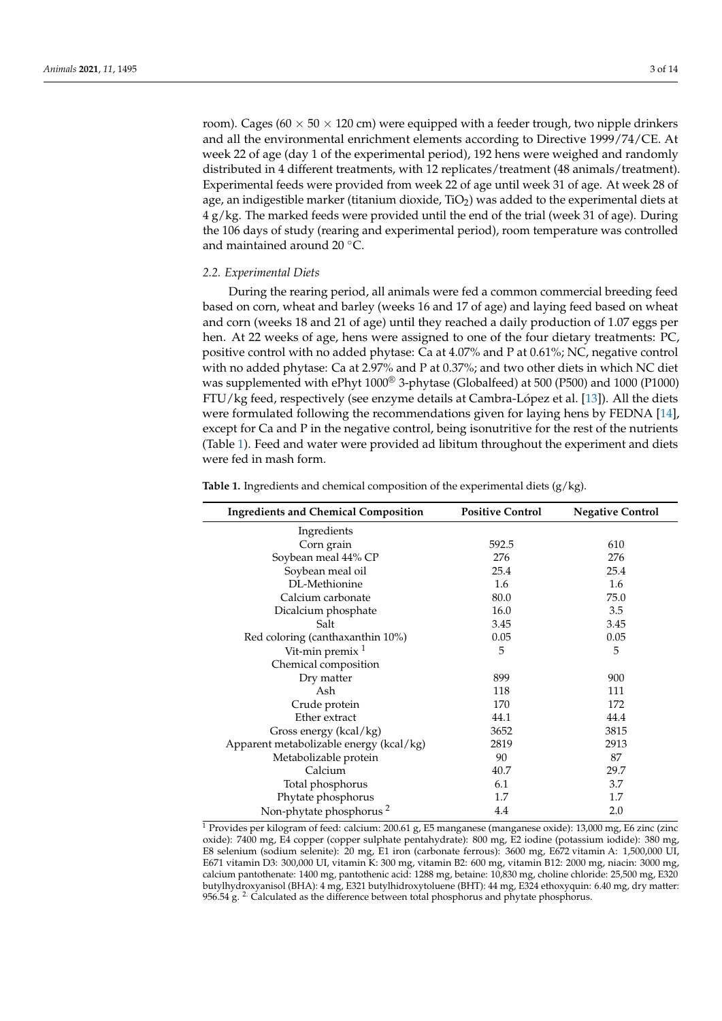room). Cages (60  $\times$  50  $\times$  120 cm) were equipped with a feeder trough, two nipple drinkers and all the environmental enrichment elements according to Directive 1999/74/CE. At week 22 of age (day 1 of the experimental period), 192 hens were weighed and randomly distributed in 4 different treatments, with 12 replicates/treatment (48 animals/treatment). Experimental feeds were provided from week 22 of age until week 31 of age. At week 28 of age, an indigestible marker (titanium dioxide,  $TiO<sub>2</sub>$ ) was added to the experimental diets at 4 g/kg. The marked feeds were provided until the end of the trial (week 31 of age). During the 106 days of study (rearing and experimental period), room temperature was controlled and maintained around 20 ◦C.

# *2.2. Experimental Diets*

During the rearing period, all animals were fed a common commercial breeding feed based on corn, wheat and barley (weeks 16 and 17 of age) and laying feed based on wheat and corn (weeks 18 and 21 of age) until they reached a daily production of 1.07 eggs per hen. At 22 weeks of age, hens were assigned to one of the four dietary treatments: PC, positive control with no added phytase: Ca at 4.07% and P at 0.61%; NC, negative control with no added phytase: Ca at 2.97% and P at 0.37%; and two other diets in which NC diet was supplemented with ePhyt 1000® 3-phytase (Globalfeed) at 500 (P500) and 1000 (P1000) FTU/kg feed, respectively (see enzyme details at Cambra-López et al. [\[13\]](#page-11-12)). All the diets were formulated following the recommendations given for laying hens by FEDNA [\[14\]](#page-11-13), except for Ca and P in the negative control, being isonutritive for the rest of the nutrients (Table [1\)](#page-2-0). Feed and water were provided ad libitum throughout the experiment and diets were fed in mash form.

| <b>Ingredients and Chemical Composition</b> | <b>Positive Control</b> | <b>Negative Control</b> |
|---------------------------------------------|-------------------------|-------------------------|
| Ingredients                                 |                         |                         |
| Corn grain                                  | 592.5                   | 610                     |
| Soybean meal 44% CP                         | 276                     | 276                     |
| Soybean meal oil                            | 25.4                    | 25.4                    |
| DL-Methionine                               | 1.6                     | 1.6                     |
| Calcium carbonate                           | 80.0                    | 75.0                    |
| Dicalcium phosphate                         | 16.0                    | 3.5                     |
| Salt                                        | 3.45                    | 3.45                    |
| Red coloring (canthaxanthin 10%)            | 0.05                    | 0.05                    |
| Vit-min premix $1$                          | 5                       | 5                       |
| Chemical composition                        |                         |                         |
| Dry matter                                  | 899                     | 900                     |
| Ash                                         | 118                     | 111                     |
| Crude protein                               | 170                     | 172                     |
| Ether extract                               | 44.1                    | 44.4                    |
| Gross energy (kcal/kg)                      | 3652                    | 3815                    |
| Apparent metabolizable energy (kcal/kg)     | 2819                    | 2913                    |
| Metabolizable protein                       | 90                      | 87                      |
| Calcium                                     | 40.7                    | 29.7                    |
| Total phosphorus                            | 6.1                     | 3.7                     |
| Phytate phosphorus                          | 1.7                     | 1.7                     |
| Non-phytate phosphorus <sup>2</sup>         | 4.4                     | 2.0                     |

<span id="page-2-0"></span>**Table 1.** Ingredients and chemical composition of the experimental diets (g/kg).

<sup>1</sup> Provides per kilogram of feed: calcium: 200.61 g, E5 manganese (manganese oxide): 13,000 mg, E6 zinc (zinc oxide): 7400 mg, E4 copper (copper sulphate pentahydrate): 800 mg, E2 iodine (potassium iodide): 380 mg, E8 selenium (sodium selenite): 20 mg, E1 iron (carbonate ferrous): 3600 mg, E672 vitamin A: 1,500,000 UI, E671 vitamin D3: 300,000 UI, vitamin K: 300 mg, vitamin B2: 600 mg, vitamin B12: 2000 mg, niacin: 3000 mg, calcium pantothenate: 1400 mg, pantothenic acid: 1288 mg, betaine: 10,830 mg, choline chloride: 25,500 mg, E320 butylhydroxyanisol (BHA): 4 mg, E321 butylhidroxytoluene (BHT): 44 mg, E324 ethoxyquin: 6.40 mg, dry matter: 956.54 g.  $^{2}$ . Calculated as the difference between total phosphorus and phytate phosphorus.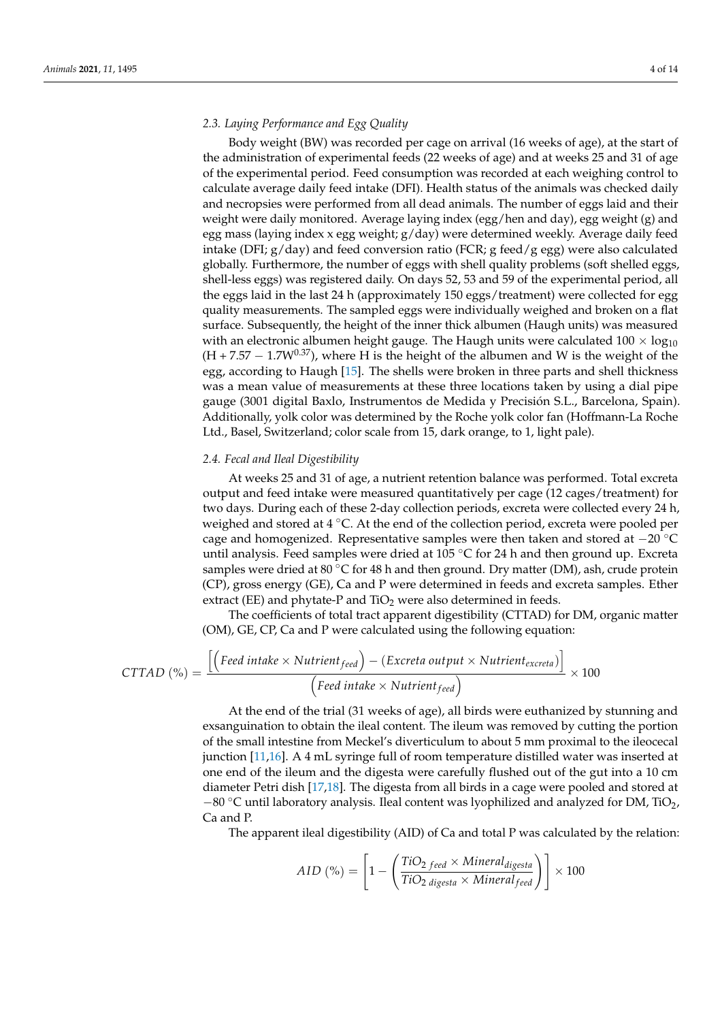#### *2.3. Laying Performance and Egg Quality*

Body weight (BW) was recorded per cage on arrival (16 weeks of age), at the start of the administration of experimental feeds (22 weeks of age) and at weeks 25 and 31 of age of the experimental period. Feed consumption was recorded at each weighing control to calculate average daily feed intake (DFI). Health status of the animals was checked daily and necropsies were performed from all dead animals. The number of eggs laid and their weight were daily monitored. Average laying index (egg/hen and day), egg weight (g) and egg mass (laying index x egg weight; g/day) were determined weekly. Average daily feed intake (DFI;  $g$ /day) and feed conversion ratio (FCR; g feed/g egg) were also calculated globally. Furthermore, the number of eggs with shell quality problems (soft shelled eggs, shell-less eggs) was registered daily. On days 52, 53 and 59 of the experimental period, all the eggs laid in the last 24 h (approximately 150 eggs/treatment) were collected for egg quality measurements. The sampled eggs were individually weighed and broken on a flat surface. Subsequently, the height of the inner thick albumen (Haugh units) was measured with an electronic albumen height gauge. The Haugh units were calculated  $100 \times log_{10}$  $(H + 7.57 - 1.7W^{0.37})$ , where H is the height of the albumen and W is the weight of the egg, according to Haugh [\[15\]](#page-11-14). The shells were broken in three parts and shell thickness was a mean value of measurements at these three locations taken by using a dial pipe gauge (3001 digital Baxlo, Instrumentos de Medida y Precisión S.L., Barcelona, Spain). Additionally, yolk color was determined by the Roche yolk color fan (Hoffmann-La Roche Ltd., Basel, Switzerland; color scale from 15, dark orange, to 1, light pale).

#### *2.4. Fecal and Ileal Digestibility*

At weeks 25 and 31 of age, a nutrient retention balance was performed. Total excreta output and feed intake were measured quantitatively per cage (12 cages/treatment) for two days. During each of these 2-day collection periods, excreta were collected every 24 h, weighed and stored at 4 °C. At the end of the collection period, excreta were pooled per cage and homogenized. Representative samples were then taken and stored at −20 ◦C until analysis. Feed samples were dried at  $105\degree C$  for 24 h and then ground up. Excreta samples were dried at 80  $\degree$ C for 48 h and then ground. Dry matter (DM), ash, crude protein (CP), gross energy (GE), Ca and P were determined in feeds and excreta samples. Ether extract (EE) and phytate-P and  $TiO<sub>2</sub>$  were also determined in feeds.

The coefficients of total tract apparent digestibility (CTTAD) for DM, organic matter (OM), GE, CP, Ca and P were calculated using the following equation:

$$
CTTAD (%) = \frac{\left[\left(\text{Feed intake} \times \text{Nutrient}_{\text{feed}}\right) - \left(\text{Exercise 1} \text{ output } \times \text{Nutrient}_{\text{excreta}}\right)\right]}{\left(\text{Feed intake} \times \text{Nutrient}_{\text{feed}}\right)} \times 100
$$

At the end of the trial (31 weeks of age), all birds were euthanized by stunning and exsanguination to obtain the ileal content. The ileum was removed by cutting the portion of the small intestine from Meckel's diverticulum to about 5 mm proximal to the ileocecal junction [\[11](#page-11-10)[,16\]](#page-11-15). A 4 mL syringe full of room temperature distilled water was inserted at one end of the ileum and the digesta were carefully flushed out of the gut into a 10 cm diameter Petri dish [\[17,](#page-12-0)[18\]](#page-12-1). The digesta from all birds in a cage were pooled and stored at  $-80$  °C until laboratory analysis. Ileal content was lyophilized and analyzed for DM, TiO<sub>2</sub>, Ca and P.

The apparent ileal digestibility (AID) of Ca and total P was calculated by the relation:

$$
AID\ (\%) = \left[1 - \left(\frac{TiO_{2 \text{ feed}} \times \text{Mineral}_{\text{digesta}}}{TiO_{2 \text{ digesta}} \times \text{Mineral}_{\text{feed}}}\right)\right] \times 100
$$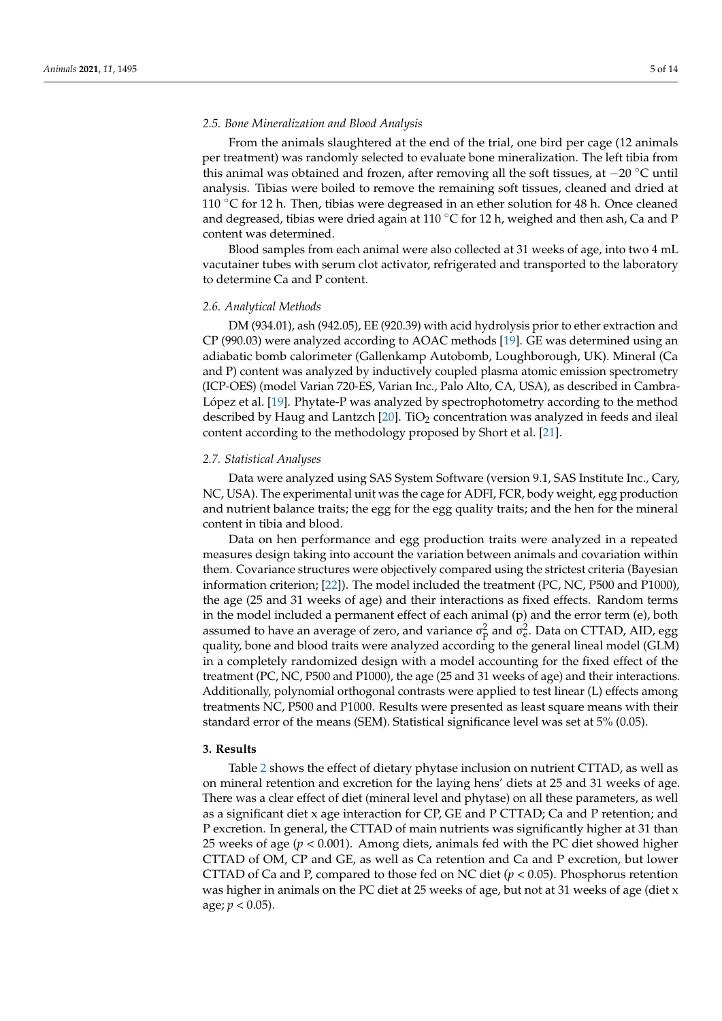#### *2.5. Bone Mineralization and Blood Analysis*

From the animals slaughtered at the end of the trial, one bird per cage (12 animals per treatment) was randomly selected to evaluate bone mineralization. The left tibia from this animal was obtained and frozen, after removing all the soft tissues, at −20 ◦C until analysis. Tibias were boiled to remove the remaining soft tissues, cleaned and dried at 110 ◦C for 12 h. Then, tibias were degreased in an ether solution for 48 h. Once cleaned and degreased, tibias were dried again at 110  $\degree$ C for 12 h, weighed and then ash, Ca and P content was determined.

Blood samples from each animal were also collected at 31 weeks of age, into two 4 mL vacutainer tubes with serum clot activator, refrigerated and transported to the laboratory to determine Ca and P content.

#### *2.6. Analytical Methods*

DM (934.01), ash (942.05), EE (920.39) with acid hydrolysis prior to ether extraction and CP (990.03) were analyzed according to AOAC methods [\[19\]](#page-12-2). GE was determined using an adiabatic bomb calorimeter (Gallenkamp Autobomb, Loughborough, UK). Mineral (Ca and P) content was analyzed by inductively coupled plasma atomic emission spectrometry (ICP-OES) (model Varian 720-ES, Varian Inc., Palo Alto, CA, USA), as described in Cambra-López et al. [\[19\]](#page-12-2). Phytate-P was analyzed by spectrophotometry according to the method described by Haug and Lantzch  $[20]$ . TiO<sub>2</sub> concentration was analyzed in feeds and ileal content according to the methodology proposed by Short et al. [\[21\]](#page-12-4).

#### *2.7. Statistical Analyses*

Data were analyzed using SAS System Software (version 9.1, SAS Institute Inc., Cary, NC, USA). The experimental unit was the cage for ADFI, FCR, body weight, egg production and nutrient balance traits; the egg for the egg quality traits; and the hen for the mineral content in tibia and blood.

Data on hen performance and egg production traits were analyzed in a repeated measures design taking into account the variation between animals and covariation within them. Covariance structures were objectively compared using the strictest criteria (Bayesian information criterion; [\[22\]](#page-12-5)). The model included the treatment (PC, NC, P500 and P1000), the age (25 and 31 weeks of age) and their interactions as fixed effects. Random terms in the model included a permanent effect of each animal (p) and the error term (e), both assumed to have an average of zero, and variance  $\sigma_{\rm p}^2$  and  $\sigma_{\rm e}^2$ . Data on CTTAD, AID, egg quality, bone and blood traits were analyzed according to the general lineal model (GLM) in a completely randomized design with a model accounting for the fixed effect of the treatment (PC, NC, P500 and P1000), the age (25 and 31 weeks of age) and their interactions. Additionally, polynomial orthogonal contrasts were applied to test linear (L) effects among treatments NC, P500 and P1000. Results were presented as least square means with their standard error of the means (SEM). Statistical significance level was set at 5% (0.05).

## **3. Results**

Table [2](#page-5-0) shows the effect of dietary phytase inclusion on nutrient CTTAD, as well as on mineral retention and excretion for the laying hens' diets at 25 and 31 weeks of age. There was a clear effect of diet (mineral level and phytase) on all these parameters, as well as a significant diet x age interaction for CP, GE and P CTTAD; Ca and P retention; and P excretion. In general, the CTTAD of main nutrients was significantly higher at 31 than 25 weeks of age (*p* < 0.001). Among diets, animals fed with the PC diet showed higher CTTAD of OM, CP and GE, as well as Ca retention and Ca and P excretion, but lower CTTAD of Ca and P, compared to those fed on NC diet ( $p < 0.05$ ). Phosphorus retention was higher in animals on the PC diet at 25 weeks of age, but not at 31 weeks of age (diet x age;  $p < 0.05$ ).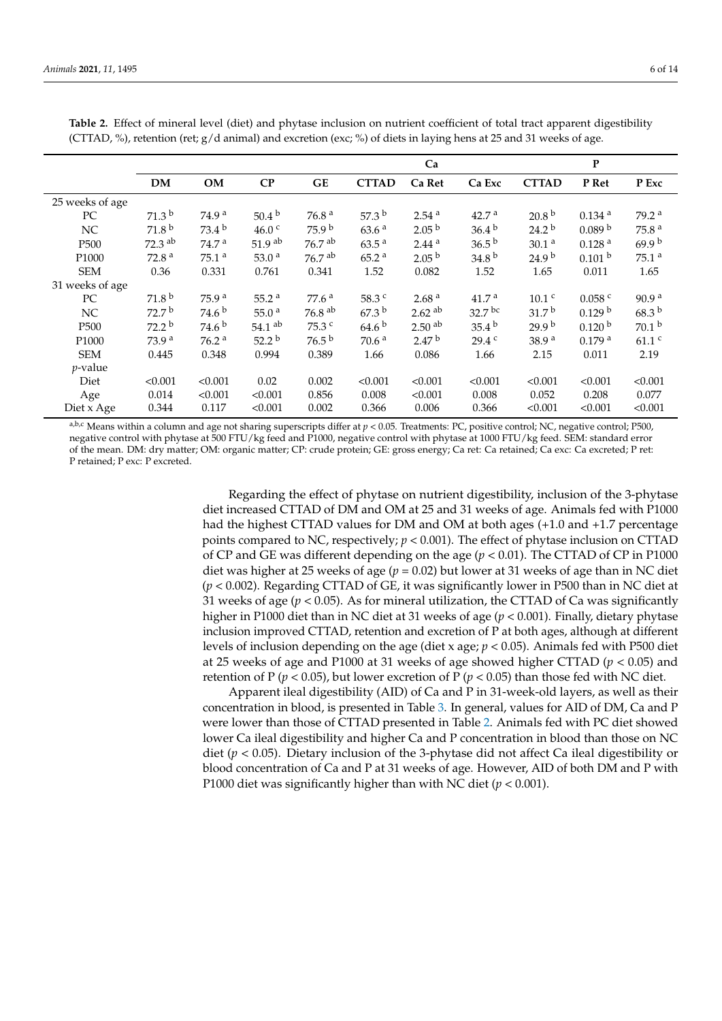|                   |                      |                   |                      |                      | Ca                |                      |                    | P                 |                      |                     |  |
|-------------------|----------------------|-------------------|----------------------|----------------------|-------------------|----------------------|--------------------|-------------------|----------------------|---------------------|--|
|                   | <b>DM</b>            | <b>OM</b>         | CP                   | <b>GE</b>            | <b>CTTAD</b>      | Ca Ret               | Ca Exc             | <b>CTTAD</b>      | P Ret                | P Exc               |  |
| 25 weeks of age   |                      |                   |                      |                      |                   |                      |                    |                   |                      |                     |  |
| PC                | 71.3 <sup>b</sup>    | 74.9 <sup>a</sup> | $50.4^{b}$           | 76.8 <sup>a</sup>    | 57.3 $^{\rm b}$   | 2.54 <sup>a</sup>    | 42.7 <sup>a</sup>  | 20.8 <sup>b</sup> | $0.134$ <sup>a</sup> | 79.2 <sup>a</sup>   |  |
| NC.               | 71.8 <sup>b</sup>    | $73.4^{b}$        | 46.0 <sup>c</sup>    | 75.9 <sup>b</sup>    | 63.6 <sup>a</sup> | 2.05 <sup>b</sup>    | $36.4^{b}$         | 24.2 <sup>b</sup> | 0.089 <sup>b</sup>   | 75.8 <sup>a</sup>   |  |
| P <sub>500</sub>  | $72.3$ <sup>ab</sup> | 74.7 <sup>a</sup> | 51.9 <sup>ab</sup>   | $76.7$ <sup>ab</sup> | $63.5^{\text{a}}$ | 2.44 <sup>a</sup>    | $36.5^{b}$         | 30.1 <sup>a</sup> | 0.128 <sup>a</sup>   | 69.9 <sup>b</sup>   |  |
| P <sub>1000</sub> | 72.8 <sup>a</sup>    | 75.1 <sup>a</sup> | 53.0 $a$             | $76.7$ <sup>ab</sup> | 65.2 <sup>a</sup> | 2.05 <sup>b</sup>    | 34.8 <sup>b</sup>  | 24.9 <sup>b</sup> | 0.101 <sup>b</sup>   | 75.1 <sup>a</sup>   |  |
| <b>SEM</b>        | 0.36                 | 0.331             | 0.761                | 0.341                | 1.52              | 0.082                | 1.52               | 1.65              | 0.011                | 1.65                |  |
| 31 weeks of age   |                      |                   |                      |                      |                   |                      |                    |                   |                      |                     |  |
| PC                | 71.8 <sup>b</sup>    | 75.9 <sup>a</sup> | 55.2 <sup>a</sup>    | 77.6 <sup>a</sup>    | 58.3 c            | 2.68 <sup>a</sup>    | 41.7 <sup>a</sup>  | 10.1 <sup>c</sup> | $0.058$ c            | 90.9 <sup>a</sup>   |  |
| NC                | 72.7 <sup>b</sup>    | 74.6 <sup>b</sup> | 55.0 <sup>a</sup>    | $76.8$ <sup>ab</sup> | 67.3 <sup>b</sup> | $2.62$ <sup>ab</sup> | 32.7 <sup>bc</sup> | 31.7 <sup>b</sup> | 0.129 <sup>b</sup>   | 68.3 <sup>b</sup>   |  |
| P <sub>500</sub>  | $72.2^{\mathrm{b}}$  | 74.6 <sup>b</sup> | $54.1$ <sup>ab</sup> | 75.3 c               | 64.6 <sup>b</sup> | $2.50$ <sup>ab</sup> | 35.4 <sup>b</sup>  | 29.9 <sup>b</sup> | 0.120 <sup>b</sup>   | 70.1 <sup>b</sup>   |  |
| P <sub>1000</sub> | 73.9 <sup>a</sup>    | 76.2 <sup>a</sup> | $52.2^{\mathrm{b}}$  | $76.5^{b}$           | 70.6 <sup>a</sup> | 2.47 <sup>b</sup>    | 29.4 c             | 38.9 <sup>a</sup> | $0.179$ <sup>a</sup> | $61.1$ <sup>c</sup> |  |
| <b>SEM</b>        | 0.445                | 0.348             | 0.994                | 0.389                | 1.66              | 0.086                | 1.66               | 2.15              | 0.011                | 2.19                |  |
| $p$ -value        |                      |                   |                      |                      |                   |                      |                    |                   |                      |                     |  |
| Diet              | < 0.001              | < 0.001           | 0.02                 | 0.002                | < 0.001           | < 0.001              | < 0.001            | < 0.001           | < 0.001              | < 0.001             |  |
| Age               | 0.014                | < 0.001           | < 0.001              | 0.856                | 0.008             | < 0.001              | 0.008              | 0.052             | 0.208                | 0.077               |  |
| Diet x Age        | 0.344                | 0.117             | < 0.001              | 0.002                | 0.366             | 0.006                | 0.366              | < 0.001           | < 0.001              | < 0.001             |  |

<span id="page-5-0"></span>**Table 2.** Effect of mineral level (diet) and phytase inclusion on nutrient coefficient of total tract apparent digestibility (CTTAD, %), retention (ret;  $g/d$  animal) and excretion (exc; %) of diets in laying hens at 25 and 31 weeks of age.

a,b,c Means within a column and age not sharing superscripts differ at  $p < 0.05$ . Treatments: PC, positive control; NC, negative control; P500, negative control with phytase at 500 FTU/kg feed and P1000, negative control with phytase at 1000 FTU/kg feed. SEM: standard error of the mean. DM: dry matter; OM: organic matter; CP: crude protein; GE: gross energy; Ca ret: Ca retained; Ca exc: Ca excreted; P ret: P retained; P exc: P excreted.

> Regarding the effect of phytase on nutrient digestibility, inclusion of the 3-phytase diet increased CTTAD of DM and OM at 25 and 31 weeks of age. Animals fed with P1000 had the highest CTTAD values for DM and OM at both ages (+1.0 and +1.7 percentage points compared to NC, respectively;  $p < 0.001$ ). The effect of phytase inclusion on CTTAD of CP and GE was different depending on the age (*p* < 0.01). The CTTAD of CP in P1000 diet was higher at 25 weeks of age (*p* = 0.02) but lower at 31 weeks of age than in NC diet (*p* < 0.002). Regarding CTTAD of GE, it was significantly lower in P500 than in NC diet at 31 weeks of age ( $p < 0.05$ ). As for mineral utilization, the CTTAD of Ca was significantly higher in P1000 diet than in NC diet at 31 weeks of age (*p* < 0.001). Finally, dietary phytase inclusion improved CTTAD, retention and excretion of P at both ages, although at different levels of inclusion depending on the age (diet x age; *p* < 0.05). Animals fed with P500 diet at 25 weeks of age and P1000 at 31 weeks of age showed higher CTTAD (*p* < 0.05) and retention of P ( $p < 0.05$ ), but lower excretion of P ( $p < 0.05$ ) than those fed with NC diet.

> Apparent ileal digestibility (AID) of Ca and P in 31-week-old layers, as well as their concentration in blood, is presented in Table [3.](#page-6-0) In general, values for AID of DM, Ca and P were lower than those of CTTAD presented in Table [2.](#page-5-0) Animals fed with PC diet showed lower Ca ileal digestibility and higher Ca and P concentration in blood than those on NC diet (*p* < 0.05). Dietary inclusion of the 3-phytase did not affect Ca ileal digestibility or blood concentration of Ca and P at 31 weeks of age. However, AID of both DM and P with P1000 diet was significantly higher than with NC diet (*p* < 0.001).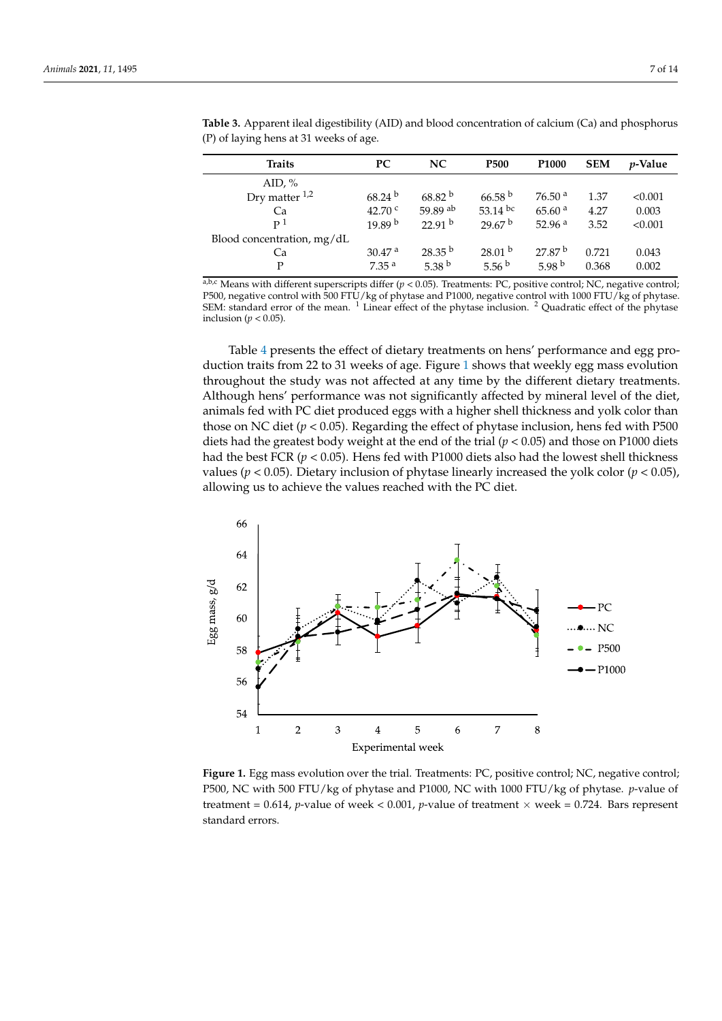| <b>Traits</b>              | PС                   | NC.                | <b>P500</b>        | P <sub>1000</sub>  | <b>SEM</b> | <i>v</i> -Value |
|----------------------------|----------------------|--------------------|--------------------|--------------------|------------|-----------------|
| AID, $%$                   |                      |                    |                    |                    |            |                 |
| Dry matter $1,2$           | $68.24^{b}$          | 68.82 <sup>b</sup> | 66.58 <sup>b</sup> | 76.50 <sup>a</sup> | 1.37       | < 0.001         |
| Ca                         | 42.70 $^{\circ}$     | 59.89 ab           | 53.14 bc           | 65.60 <sup>a</sup> | 4.27       | 0.003           |
| P <sup>1</sup>             | 19.89 <sup>b</sup>   | 22.91 <sup>b</sup> | 29.67 <sup>b</sup> | 52.96 $a$          | 3.52       | < 0.001         |
| Blood concentration, mg/dL |                      |                    |                    |                    |            |                 |
| Ca                         | $30.47$ <sup>a</sup> | $28.35^{b}$        | 28.01 <sup>b</sup> | 27.87 <sup>b</sup> | 0.721      | 0.043           |
| P                          | 7.35 <sup>a</sup>    | 5.38 $^{\rm b}$    | 5.56 $^{\rm b}$    | 5.98 $^{\rm b}$    | 0.368      | 0.002           |

<span id="page-6-0"></span>**Table 3.** Apparent ileal digestibility (AID) and blood concentration of calcium (Ca) and phosphorus (D) of laxing home at 21 years of age (P) of laying hens at 31 weeks of age.

 $a,b,c$  Means with different superscripts differ ( $p < 0.05$ ). Treatments: PC, positive control; NC, negative control; P500, negative control with 500 FTU/kg of phytase and P1000, negative control with 1000 FTU/kg of phytase. SEM: standard error of the mean.  $1$  Linear effect of the phytase inclusion.  $2$  Quadratic effect of the phytase inclusion ( $p < 0.05$ ).

Table 4 presents the effect of dietary treatments on hens' performance and egg pro-Table 4 [pr](#page-7-0)esents the effect of dietary treatments on hens*'* performance and egg production traits from 22 to 31 weeks of age. Figure 1 shows that weekly egg mass evolution duction traits from 22 to 31 weeks of age. Figure 1 [sh](#page-6-1)ows that weekly egg mass evolution throughout the study was not affected at any time by the different dietary treatments. throughout the study was not affected at any time by the different dietary treatments. Although hens' performance was not significantly affected by mineral level of the diet, Although hens' performance was not significantly affected by mineral level of the diet, animals fed with PC diet produced eggs with a higher shell thickness and yolk color than animals fed with PC diet produced eggs with a higher shell thickness and yolk color than those on NC diet (*p* < 0.05). Regarding the effect of phytase inclusion, hens fed with P500 those on NC diet (*p* < 0.05). Regarding the effect of phytase inclusion, hens fed with P500 diets had the greatest body weight at the end of the trial ( $p < 0.05$ ) and those on P1000 diets had the best FCR (*p* < 0.05). Hens fed with P1000 diets also had the lowest shell thickness had the best FCR (*p* < 0.05). Hens fed with P1000 diets also had the lowest shell thickness values (*p* < 0.05). Dietary inclusion of phytase linearly increased the yolk color (*p* < 0.05), values (*p* < 0.05). Dietary inclusion of phytase linearly increased the yolk color (*p* < 0.05), allowing us to achieve the values reached with the PC diet. allowing us to achieve the values reached with the PC diet.

<span id="page-6-1"></span>

F500, NC with 500 FTU/kg of phytase and P1000, NC with 1000 FTU/kg of phytase. *p*-value of  $\frac{1}{200}$   $\frac{1}{200}$   $\frac{1}{200}$   $\frac{1}{200}$   $\frac{1}{200}$   $\frac{1}{200}$   $\frac{1}{200}$   $\frac{1}{200}$   $\frac{1}{200}$   $\frac{1}{200}$   $\frac{1}{200}$   $\frac{1}{200}$ treatment =  $0.614$ , *p*-value of week <  $0.001$ , *p*-value of treatment × week =  $0.724$ . Bars represent standard errors. standard errors.**Figure 1.** Egg mass evolution over the trial. Treatments: PC, positive control; NC, negative control;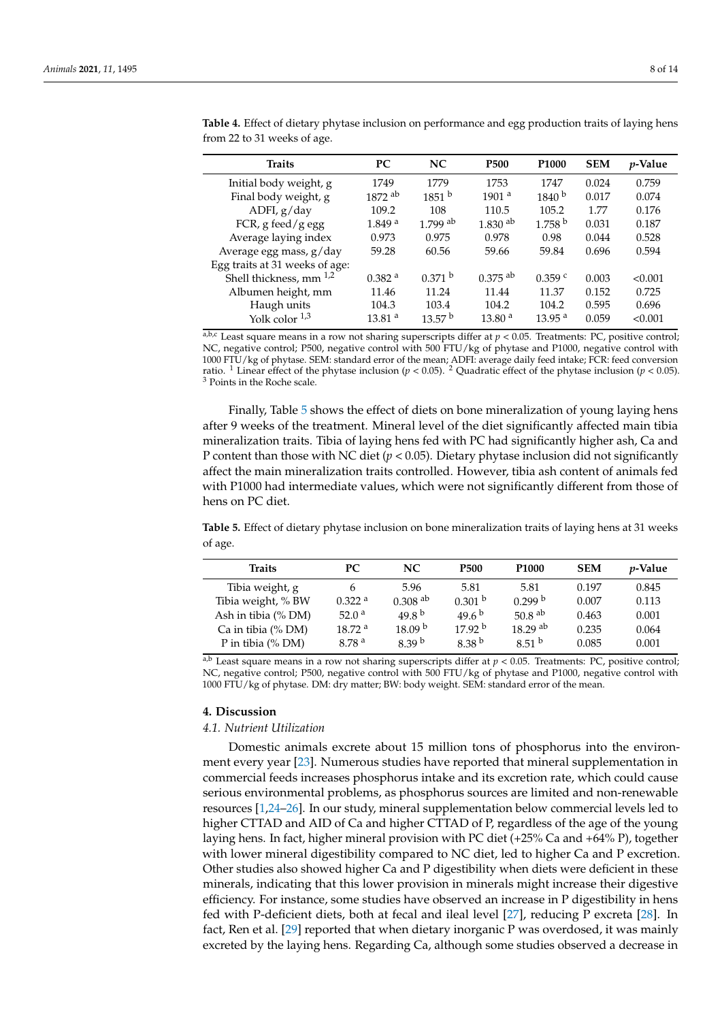| <b>Traits</b>                  | <b>PC</b>            | NC.                   | P <sub>500</sub>      | P <sub>1000</sub>  | <b>SEM</b> | <i>p</i> -Value |
|--------------------------------|----------------------|-----------------------|-----------------------|--------------------|------------|-----------------|
| Initial body weight, g         | 1749                 | 1779                  | 1753                  | 1747               | 0.024      | 0.759           |
| Final body weight, g           | $1872$ <sup>ab</sup> | 1851 <sup>b</sup>     | 1901a                 | 1840 <sup>b</sup>  | 0.017      | 0.074           |
| ADFI, g/day                    | 109.2                | 108                   | 110.5                 | 105.2              | 1.77       | 0.176           |
| FCR, g feed/g egg              | 1.849 <sup>a</sup>   | $1.799$ <sup>ab</sup> | $1.830$ <sup>ab</sup> | 1.758 <sup>b</sup> | 0.031      | 0.187           |
| Average laying index           | 0.973                | 0.975                 | 0.978                 | 0.98               | 0.044      | 0.528           |
| Average egg mass, g/day        | 59.28                | 60.56                 | 59.66                 | 59.84              | 0.696      | 0.594           |
| Egg traits at 31 weeks of age: |                      |                       |                       |                    |            |                 |
| Shell thickness, mm $^{1,2}$   | $0.382$ <sup>a</sup> | $0.371$ b             | $0.375$ <sup>ab</sup> | $0.359$ c          | 0.003      | < 0.001         |
| Albumen height, mm             | 11.46                | 11.24                 | 11.44                 | 11.37              | 0.152      | 0.725           |
| Haugh units                    | 104.3                | 103.4                 | 104.2                 | 104.2              | 0.595      | 0.696           |
| Yolk color $^{1,3}$            | 13.81 <sup>a</sup>   | 13.57 <sup>b</sup>    | 13.80 <sup>a</sup>    | 13.95 <sup>a</sup> | 0.059      | < 0.001         |

<span id="page-7-0"></span>**Table 4.** Effect of dietary phytase inclusion on performance and egg production traits of laying hens from 22 to 31 weeks of age.

 $a,b,c$  Least square means in a row not sharing superscripts differ at  $p < 0.05$ . Treatments: PC, positive control; NC, negative control; P500, negative control with 500 FTU/kg of phytase and P1000, negative control with 1000 FTU/kg of phytase. SEM: standard error of the mean; ADFI: average daily feed intake; FCR: feed conversion ratio. <sup>1</sup> Linear effect of the phytase inclusion ( $p < 0.05$ ). <sup>2</sup> Quadratic effect of the phytase inclusion ( $p < 0.05$ ). <sup>3</sup> Points in the Roche scale.

Finally, Table [5](#page-7-1) shows the effect of diets on bone mineralization of young laying hens after 9 weeks of the treatment. Mineral level of the diet significantly affected main tibia mineralization traits. Tibia of laying hens fed with PC had significantly higher ash, Ca and P content than those with NC diet (*p* < 0.05). Dietary phytase inclusion did not significantly affect the main mineralization traits controlled. However, tibia ash content of animals fed with P1000 had intermediate values, which were not significantly different from those of hens on PC diet.

<span id="page-7-1"></span>**Table 5.** Effect of dietary phytase inclusion on bone mineralization traits of laying hens at 31 weeks of age.

| Traits               | <b>PC</b>            | NC.                   | <b>P500</b>        | P <sub>1000</sub>     | <b>SEM</b> | <i>p</i> -Value |
|----------------------|----------------------|-----------------------|--------------------|-----------------------|------------|-----------------|
| Tibia weight, g      | 6                    | 5.96                  | 5.81               | 5.81                  | 0.197      | 0.845           |
| Tibia weight, % BW   | $0.322$ <sup>a</sup> | $0.308$ <sup>ab</sup> | 0.301 <sup>b</sup> | 0.299 b               | 0.007      | 0.113           |
| Ash in tibia (% DM)  | 52.0 <sup>a</sup>    | 49.8 $^{\rm b}$       | 49.6 $^{b}$        | 50.8 $^{ab}$          | 0.463      | 0.001           |
| Ca in tibia (% DM)   | 18.72 <sup>a</sup>   | 18.09 <sup>b</sup>    | 17.92 <sup>b</sup> | $18.29$ <sup>ab</sup> | 0.235      | 0.064           |
| P in tibia $(\%$ DM) | 8.78 <sup>a</sup>    | 8.39 <sup>b</sup>     | 8.38 <sup>b</sup>  | 8.51 $b$              | 0.085      | 0.001           |

a,b Least square means in a row not sharing superscripts differ at  $p < 0.05$ . Treatments: PC, positive control; NC, negative control; P500, negative control with 500 FTU/kg of phytase and P1000, negative control with 1000 FTU/kg of phytase. DM: dry matter; BW: body weight. SEM: standard error of the mean.

#### **4. Discussion**

#### *4.1. Nutrient Utilization*

Domestic animals excrete about 15 million tons of phosphorus into the environment every year [\[23\]](#page-12-6). Numerous studies have reported that mineral supplementation in commercial feeds increases phosphorus intake and its excretion rate, which could cause serious environmental problems, as phosphorus sources are limited and non-renewable resources [\[1](#page-11-0)[,24](#page-12-7)[–26\]](#page-12-8). In our study, mineral supplementation below commercial levels led to higher CTTAD and AID of Ca and higher CTTAD of P, regardless of the age of the young laying hens. In fact, higher mineral provision with PC diet (+25% Ca and +64% P), together with lower mineral digestibility compared to NC diet, led to higher Ca and P excretion. Other studies also showed higher Ca and P digestibility when diets were deficient in these minerals, indicating that this lower provision in minerals might increase their digestive efficiency. For instance, some studies have observed an increase in P digestibility in hens fed with P-deficient diets, both at fecal and ileal level [\[27\]](#page-12-9), reducing P excreta [\[28\]](#page-12-10). In fact, Ren et al. [\[29\]](#page-12-11) reported that when dietary inorganic P was overdosed, it was mainly excreted by the laying hens. Regarding Ca, although some studies observed a decrease in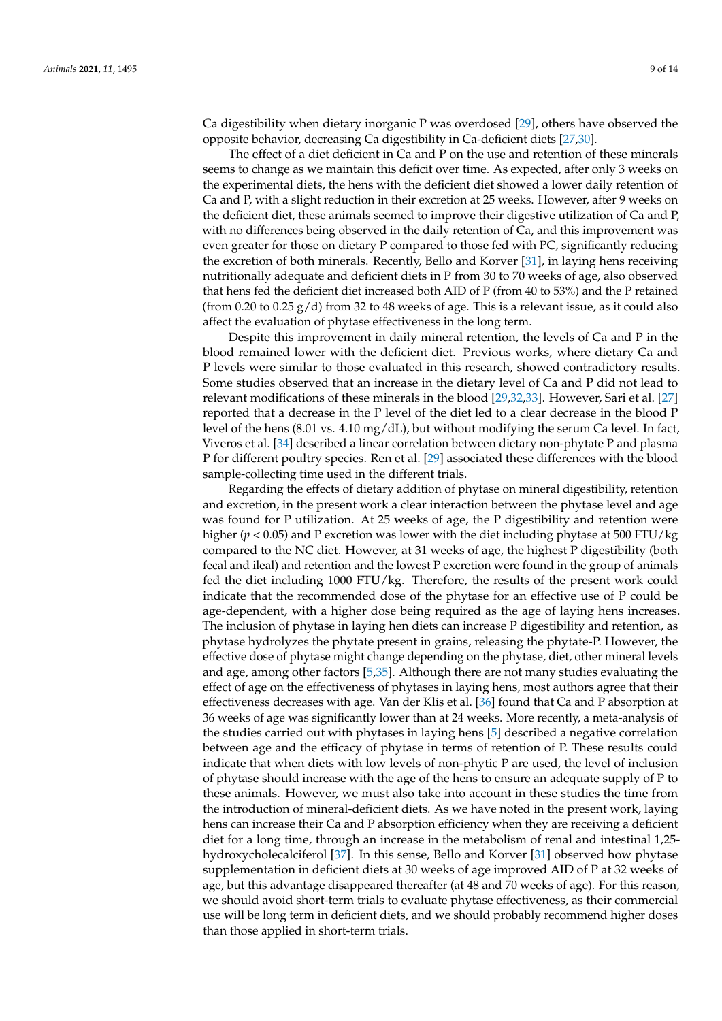Ca digestibility when dietary inorganic P was overdosed [\[29\]](#page-12-11), others have observed the opposite behavior, decreasing Ca digestibility in Ca-deficient diets [\[27](#page-12-9)[,30\]](#page-12-12).

The effect of a diet deficient in Ca and P on the use and retention of these minerals seems to change as we maintain this deficit over time. As expected, after only 3 weeks on the experimental diets, the hens with the deficient diet showed a lower daily retention of Ca and P, with a slight reduction in their excretion at 25 weeks. However, after 9 weeks on the deficient diet, these animals seemed to improve their digestive utilization of Ca and P, with no differences being observed in the daily retention of Ca, and this improvement was even greater for those on dietary P compared to those fed with PC, significantly reducing the excretion of both minerals. Recently, Bello and Korver [\[31\]](#page-12-13), in laying hens receiving nutritionally adequate and deficient diets in P from 30 to 70 weeks of age, also observed that hens fed the deficient diet increased both AID of P (from 40 to 53%) and the P retained (from 0.20 to 0.25 g/d) from 32 to 48 weeks of age. This is a relevant issue, as it could also affect the evaluation of phytase effectiveness in the long term.

Despite this improvement in daily mineral retention, the levels of Ca and P in the blood remained lower with the deficient diet. Previous works, where dietary Ca and P levels were similar to those evaluated in this research, showed contradictory results. Some studies observed that an increase in the dietary level of Ca and P did not lead to relevant modifications of these minerals in the blood [\[29,](#page-12-11)[32,](#page-12-14)[33\]](#page-12-15). However, Sari et al. [\[27\]](#page-12-9) reported that a decrease in the P level of the diet led to a clear decrease in the blood P level of the hens (8.01 vs.  $4.10 \text{ mg/dL}$ ), but without modifying the serum Ca level. In fact, Viveros et al. [\[34\]](#page-12-16) described a linear correlation between dietary non-phytate P and plasma P for different poultry species. Ren et al. [\[29\]](#page-12-11) associated these differences with the blood sample-collecting time used in the different trials.

Regarding the effects of dietary addition of phytase on mineral digestibility, retention and excretion, in the present work a clear interaction between the phytase level and age was found for P utilization. At 25 weeks of age, the P digestibility and retention were higher ( $p < 0.05$ ) and P excretion was lower with the diet including phytase at 500 FTU/kg compared to the NC diet. However, at 31 weeks of age, the highest P digestibility (both fecal and ileal) and retention and the lowest P excretion were found in the group of animals fed the diet including 1000 FTU/kg. Therefore, the results of the present work could indicate that the recommended dose of the phytase for an effective use of P could be age-dependent, with a higher dose being required as the age of laying hens increases. The inclusion of phytase in laying hen diets can increase P digestibility and retention, as phytase hydrolyzes the phytate present in grains, releasing the phytate-P. However, the effective dose of phytase might change depending on the phytase, diet, other mineral levels and age, among other factors [\[5,](#page-11-4)[35\]](#page-12-17). Although there are not many studies evaluating the effect of age on the effectiveness of phytases in laying hens, most authors agree that their effectiveness decreases with age. Van der Klis et al. [\[36\]](#page-12-18) found that Ca and P absorption at 36 weeks of age was significantly lower than at 24 weeks. More recently, a meta-analysis of the studies carried out with phytases in laying hens [\[5\]](#page-11-4) described a negative correlation between age and the efficacy of phytase in terms of retention of P. These results could indicate that when diets with low levels of non-phytic P are used, the level of inclusion of phytase should increase with the age of the hens to ensure an adequate supply of P to these animals. However, we must also take into account in these studies the time from the introduction of mineral-deficient diets. As we have noted in the present work, laying hens can increase their Ca and P absorption efficiency when they are receiving a deficient diet for a long time, through an increase in the metabolism of renal and intestinal 1,25 hydroxycholecalciferol [\[37\]](#page-12-19). In this sense, Bello and Korver [\[31\]](#page-12-13) observed how phytase supplementation in deficient diets at 30 weeks of age improved AID of P at 32 weeks of age, but this advantage disappeared thereafter (at 48 and 70 weeks of age). For this reason, we should avoid short-term trials to evaluate phytase effectiveness, as their commercial use will be long term in deficient diets, and we should probably recommend higher doses than those applied in short-term trials.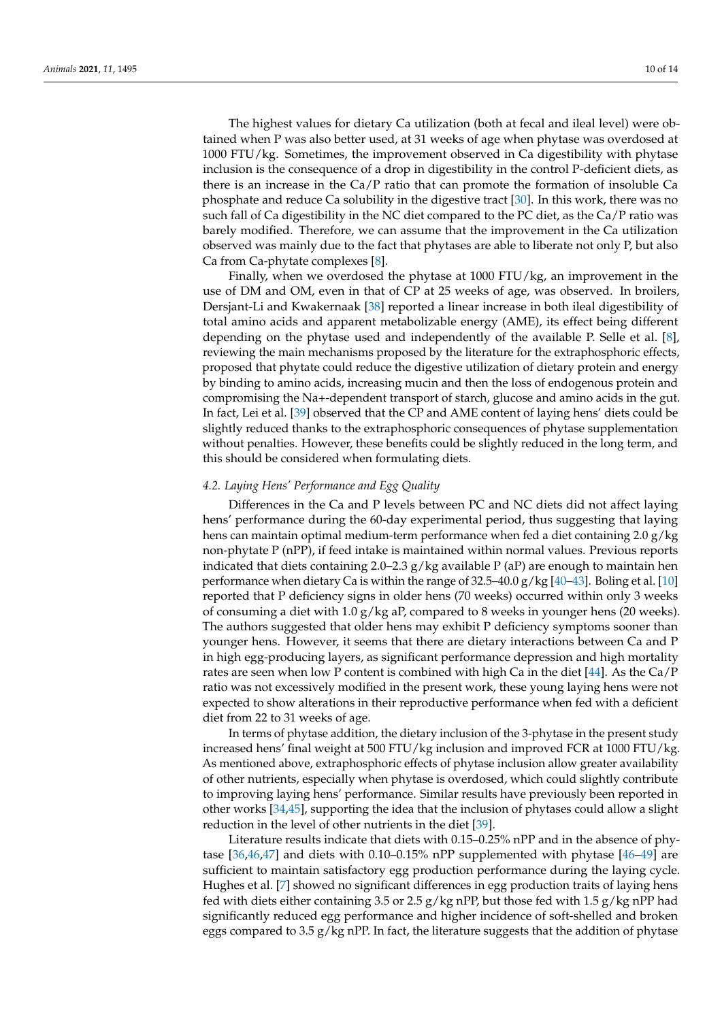The highest values for dietary Ca utilization (both at fecal and ileal level) were obtained when P was also better used, at 31 weeks of age when phytase was overdosed at 1000 FTU/kg. Sometimes, the improvement observed in Ca digestibility with phytase inclusion is the consequence of a drop in digestibility in the control P-deficient diets, as there is an increase in the Ca/P ratio that can promote the formation of insoluble Ca phosphate and reduce Ca solubility in the digestive tract [\[30\]](#page-12-12). In this work, there was no such fall of Ca digestibility in the NC diet compared to the PC diet, as the Ca/P ratio was barely modified. Therefore, we can assume that the improvement in the Ca utilization observed was mainly due to the fact that phytases are able to liberate not only P, but also Ca from Ca-phytate complexes [\[8\]](#page-11-7).

Finally, when we overdosed the phytase at 1000 FTU/kg, an improvement in the use of DM and OM, even in that of CP at 25 weeks of age, was observed. In broilers, Dersjant-Li and Kwakernaak [\[38\]](#page-12-20) reported a linear increase in both ileal digestibility of total amino acids and apparent metabolizable energy (AME), its effect being different depending on the phytase used and independently of the available P. Selle et al. [\[8\]](#page-11-7), reviewing the main mechanisms proposed by the literature for the extraphosphoric effects, proposed that phytate could reduce the digestive utilization of dietary protein and energy by binding to amino acids, increasing mucin and then the loss of endogenous protein and compromising the Na+-dependent transport of starch, glucose and amino acids in the gut. In fact, Lei et al. [\[39\]](#page-12-21) observed that the CP and AME content of laying hens' diets could be slightly reduced thanks to the extraphosphoric consequences of phytase supplementation without penalties. However, these benefits could be slightly reduced in the long term, and this should be considered when formulating diets.

#### *4.2. Laying Hens' Performance and Egg Quality*

Differences in the Ca and P levels between PC and NC diets did not affect laying hens' performance during the 60-day experimental period, thus suggesting that laying hens can maintain optimal medium-term performance when fed a diet containing 2.0 g/kg non-phytate P (nPP), if feed intake is maintained within normal values. Previous reports indicated that diets containing 2.0–2.3  $g/kg$  available P (aP) are enough to maintain hen performance when dietary Ca is within the range of  $32.5-40.0$  g/kg [\[40](#page-12-22)[–43\]](#page-12-23). Boling et al. [\[10\]](#page-11-9) reported that P deficiency signs in older hens (70 weeks) occurred within only 3 weeks of consuming a diet with 1.0 g/kg aP, compared to 8 weeks in younger hens (20 weeks). The authors suggested that older hens may exhibit P deficiency symptoms sooner than younger hens. However, it seems that there are dietary interactions between Ca and P in high egg-producing layers, as significant performance depression and high mortality rates are seen when low P content is combined with high Ca in the diet [\[44\]](#page-12-24). As the Ca/P ratio was not excessively modified in the present work, these young laying hens were not expected to show alterations in their reproductive performance when fed with a deficient diet from 22 to 31 weeks of age.

In terms of phytase addition, the dietary inclusion of the 3-phytase in the present study increased hens' final weight at 500 FTU/kg inclusion and improved FCR at 1000 FTU/kg. As mentioned above, extraphosphoric effects of phytase inclusion allow greater availability of other nutrients, especially when phytase is overdosed, which could slightly contribute to improving laying hens' performance. Similar results have previously been reported in other works [\[34](#page-12-16)[,45\]](#page-12-25), supporting the idea that the inclusion of phytases could allow a slight reduction in the level of other nutrients in the diet [\[39\]](#page-12-21).

Literature results indicate that diets with 0.15–0.25% nPP and in the absence of phytase [\[36](#page-12-18)[,46](#page-13-0)[,47\]](#page-13-1) and diets with 0.10–0.15% nPP supplemented with phytase [\[46–](#page-13-0)[49\]](#page-13-2) are sufficient to maintain satisfactory egg production performance during the laying cycle. Hughes et al. [\[7\]](#page-11-6) showed no significant differences in egg production traits of laying hens fed with diets either containing 3.5 or 2.5  $g/kg$  nPP, but those fed with 1.5  $g/kg$  nPP had significantly reduced egg performance and higher incidence of soft-shelled and broken eggs compared to 3.5 g/kg nPP. In fact, the literature suggests that the addition of phytase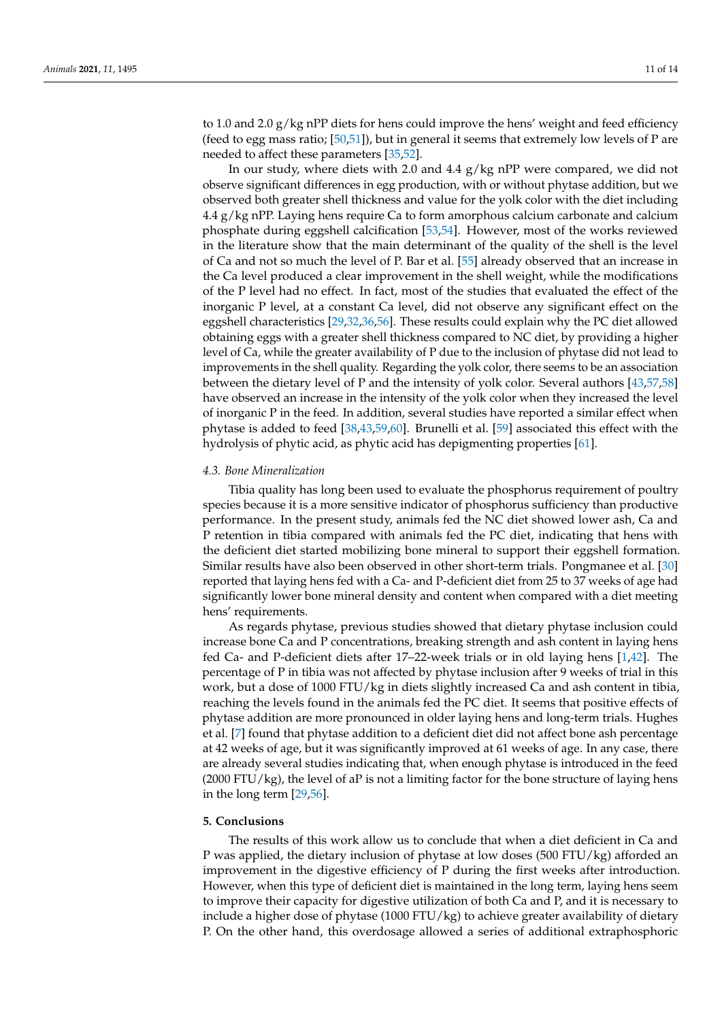to 1.0 and 2.0  $g/kg$  nPP diets for hens could improve the hens' weight and feed efficiency (feed to egg mass ratio;  $[50,51]$  $[50,51]$ ), but in general it seems that extremely low levels of P are needed to affect these parameters [\[35](#page-12-17)[,52\]](#page-13-5).

In our study, where diets with 2.0 and 4.4 g/kg nPP were compared, we did not observe significant differences in egg production, with or without phytase addition, but we observed both greater shell thickness and value for the yolk color with the diet including 4.4 g/kg nPP. Laying hens require Ca to form amorphous calcium carbonate and calcium phosphate during eggshell calcification [\[53](#page-13-6)[,54\]](#page-13-7). However, most of the works reviewed in the literature show that the main determinant of the quality of the shell is the level of Ca and not so much the level of P. Bar et al. [\[55\]](#page-13-8) already observed that an increase in the Ca level produced a clear improvement in the shell weight, while the modifications of the P level had no effect. In fact, most of the studies that evaluated the effect of the inorganic P level, at a constant Ca level, did not observe any significant effect on the eggshell characteristics [\[29,](#page-12-11)[32,](#page-12-14)[36,](#page-12-18)[56\]](#page-13-9). These results could explain why the PC diet allowed obtaining eggs with a greater shell thickness compared to NC diet, by providing a higher level of Ca, while the greater availability of P due to the inclusion of phytase did not lead to improvements in the shell quality. Regarding the yolk color, there seems to be an association between the dietary level of P and the intensity of yolk color. Several authors [\[43](#page-12-23)[,57](#page-13-10)[,58\]](#page-13-11) have observed an increase in the intensity of the yolk color when they increased the level of inorganic P in the feed. In addition, several studies have reported a similar effect when phytase is added to feed [\[38](#page-12-20)[,43,](#page-12-23)[59](#page-13-12)[,60\]](#page-13-13). Brunelli et al. [\[59\]](#page-13-12) associated this effect with the hydrolysis of phytic acid, as phytic acid has depigmenting properties [\[61\]](#page-13-14).

#### *4.3. Bone Mineralization*

Tibia quality has long been used to evaluate the phosphorus requirement of poultry species because it is a more sensitive indicator of phosphorus sufficiency than productive performance. In the present study, animals fed the NC diet showed lower ash, Ca and P retention in tibia compared with animals fed the PC diet, indicating that hens with the deficient diet started mobilizing bone mineral to support their eggshell formation. Similar results have also been observed in other short-term trials. Pongmanee et al. [\[30\]](#page-12-12) reported that laying hens fed with a Ca- and P-deficient diet from 25 to 37 weeks of age had significantly lower bone mineral density and content when compared with a diet meeting hens' requirements.

As regards phytase, previous studies showed that dietary phytase inclusion could increase bone Ca and P concentrations, breaking strength and ash content in laying hens fed Ca- and P-deficient diets after 17–22-week trials or in old laying hens [\[1,](#page-11-0)[42\]](#page-12-26). The percentage of P in tibia was not affected by phytase inclusion after 9 weeks of trial in this work, but a dose of 1000 FTU/kg in diets slightly increased Ca and ash content in tibia, reaching the levels found in the animals fed the PC diet. It seems that positive effects of phytase addition are more pronounced in older laying hens and long-term trials. Hughes et al. [\[7\]](#page-11-6) found that phytase addition to a deficient diet did not affect bone ash percentage at 42 weeks of age, but it was significantly improved at 61 weeks of age. In any case, there are already several studies indicating that, when enough phytase is introduced in the feed  $(2000 \text{ FTU/kg})$ , the level of aP is not a limiting factor for the bone structure of laying hens in the long term [\[29](#page-12-11)[,56\]](#page-13-9).

# **5. Conclusions**

The results of this work allow us to conclude that when a diet deficient in Ca and P was applied, the dietary inclusion of phytase at low doses (500 FTU/kg) afforded an improvement in the digestive efficiency of P during the first weeks after introduction. However, when this type of deficient diet is maintained in the long term, laying hens seem to improve their capacity for digestive utilization of both Ca and P, and it is necessary to include a higher dose of phytase (1000 FTU/kg) to achieve greater availability of dietary P. On the other hand, this overdosage allowed a series of additional extraphosphoric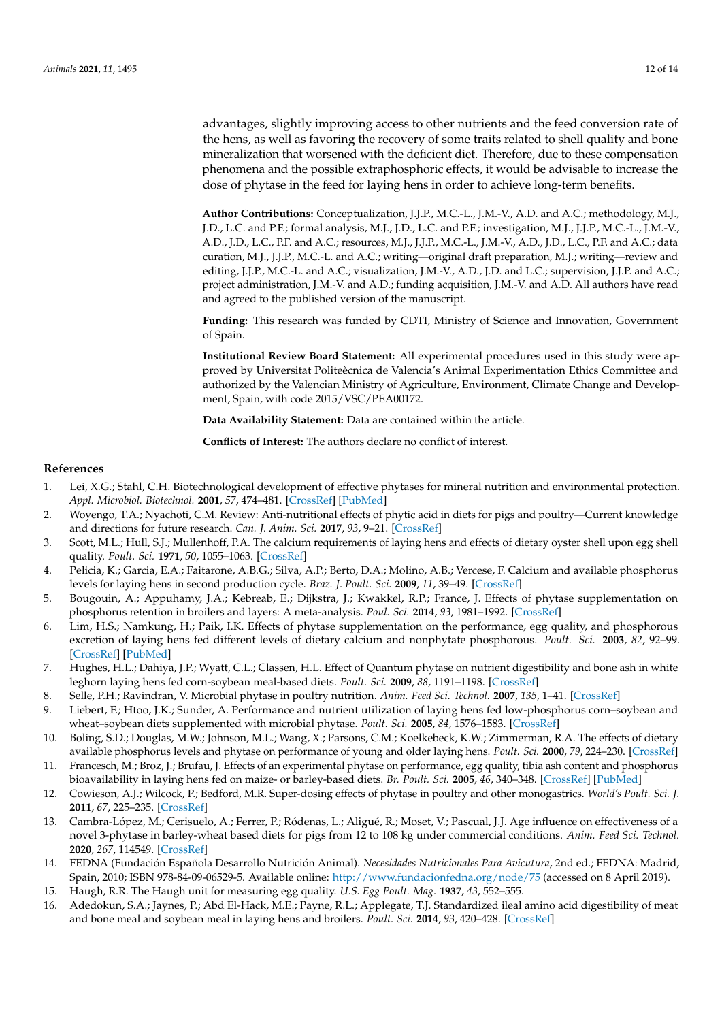advantages, slightly improving access to other nutrients and the feed conversion rate of the hens, as well as favoring the recovery of some traits related to shell quality and bone mineralization that worsened with the deficient diet. Therefore, due to these compensation phenomena and the possible extraphosphoric effects, it would be advisable to increase the dose of phytase in the feed for laying hens in order to achieve long-term benefits.

**Author Contributions:** Conceptualization, J.J.P., M.C.-L., J.M.-V., A.D. and A.C.; methodology, M.J., J.D., L.C. and P.F.; formal analysis, M.J., J.D., L.C. and P.F.; investigation, M.J., J.J.P., M.C.-L., J.M.-V., A.D., J.D., L.C., P.F. and A.C.; resources, M.J., J.J.P., M.C.-L., J.M.-V., A.D., J.D., L.C., P.F. and A.C.; data curation, M.J., J.J.P., M.C.-L. and A.C.; writing—original draft preparation, M.J.; writing—review and editing, J.J.P., M.C.-L. and A.C.; visualization, J.M.-V., A.D., J.D. and L.C.; supervision, J.J.P. and A.C.; project administration, J.M.-V. and A.D.; funding acquisition, J.M.-V. and A.D. All authors have read and agreed to the published version of the manuscript.

**Funding:** This research was funded by CDTI, Ministry of Science and Innovation, Government of Spain.

**Institutional Review Board Statement:** All experimental procedures used in this study were approved by Universitat Politeècnica de Valencia's Animal Experimentation Ethics Committee and authorized by the Valencian Ministry of Agriculture, Environment, Climate Change and Development, Spain, with code 2015/VSC/PEA00172.

**Data Availability Statement:** Data are contained within the article.

**Conflicts of Interest:** The authors declare no conflict of interest.

#### **References**

- <span id="page-11-0"></span>1. Lei, X.G.; Stahl, C.H. Biotechnological development of effective phytases for mineral nutrition and environmental protection. *Appl. Microbiol. Biotechnol.* **2001**, *57*, 474–481. [\[CrossRef\]](http://doi.org/10.1007/s002530100795) [\[PubMed\]](http://www.ncbi.nlm.nih.gov/pubmed/11762591)
- <span id="page-11-1"></span>2. Woyengo, T.A.; Nyachoti, C.M. Review: Anti-nutritional effects of phytic acid in diets for pigs and poultry—Current knowledge and directions for future research. *Can. J. Anim. Sci.* **2017**, *93*, 9–21. [\[CrossRef\]](http://doi.org/10.4141/cjas2012-017)
- <span id="page-11-2"></span>3. Scott, M.L.; Hull, S.J.; Mullenhoff, P.A. The calcium requirements of laying hens and effects of dietary oyster shell upon egg shell quality. *Poult. Sci.* **1971**, *50*, 1055–1063. [\[CrossRef\]](http://doi.org/10.3382/ps.0501055)
- <span id="page-11-3"></span>4. Pelicia, K.; Garcia, E.A.; Faitarone, A.B.G.; Silva, A.P.; Berto, D.A.; Molino, A.B.; Vercese, F. Calcium and available phosphorus levels for laying hens in second production cycle. *Braz. J. Poult. Sci.* **2009**, *11*, 39–49. [\[CrossRef\]](http://doi.org/10.1590/S1516-635X2009000100007)
- <span id="page-11-4"></span>5. Bougouin, A.; Appuhamy, J.A.; Kebreab, E.; Dijkstra, J.; Kwakkel, R.P.; France, J. Effects of phytase supplementation on phosphorus retention in broilers and layers: A meta-analysis. *Poul. Sci.* **2014**, *93*, 1981–1992. [\[CrossRef\]](http://doi.org/10.3382/ps.2013-03820)
- <span id="page-11-5"></span>6. Lim, H.S.; Namkung, H.; Paik, I.K. Effects of phytase supplementation on the performance, egg quality, and phosphorous excretion of laying hens fed different levels of dietary calcium and nonphytate phosphorous. *Poult. Sci.* **2003**, *82*, 92–99. [\[CrossRef\]](http://doi.org/10.1093/ps/82.1.92) [\[PubMed\]](http://www.ncbi.nlm.nih.gov/pubmed/12580249)
- <span id="page-11-6"></span>7. Hughes, H.L.; Dahiya, J.P.; Wyatt, C.L.; Classen, H.L. Effect of Quantum phytase on nutrient digestibility and bone ash in white leghorn laying hens fed corn-soybean meal-based diets. *Poult. Sci.* **2009**, *88*, 1191–1198. [\[CrossRef\]](http://doi.org/10.3382/ps.2008-00233)
- <span id="page-11-7"></span>8. Selle, P.H.; Ravindran, V. Microbial phytase in poultry nutrition. *Anim. Feed Sci. Technol.* **2007**, *135*, 1–41. [\[CrossRef\]](http://doi.org/10.1016/j.anifeedsci.2006.06.010)
- <span id="page-11-8"></span>9. Liebert, F.; Htoo, J.K.; Sunder, A. Performance and nutrient utilization of laying hens fed low-phosphorus corn–soybean and wheat–soybean diets supplemented with microbial phytase. *Poult. Sci.* **2005**, *84*, 1576–1583. [\[CrossRef\]](http://doi.org/10.1093/ps/84.10.1576)
- <span id="page-11-9"></span>10. Boling, S.D.; Douglas, M.W.; Johnson, M.L.; Wang, X.; Parsons, C.M.; Koelkebeck, K.W.; Zimmerman, R.A. The effects of dietary available phosphorus levels and phytase on performance of young and older laying hens. *Poult. Sci.* **2000**, *79*, 224–230. [\[CrossRef\]](http://doi.org/10.1093/ps/79.2.224)
- <span id="page-11-10"></span>11. Francesch, M.; Broz, J.; Brufau, J. Effects of an experimental phytase on performance, egg quality, tibia ash content and phosphorus bioavailability in laying hens fed on maize- or barley-based diets. *Br. Poult. Sci.* **2005**, *46*, 340–348. [\[CrossRef\]](http://doi.org/10.1080/00071660500127001) [\[PubMed\]](http://www.ncbi.nlm.nih.gov/pubmed/16050188)
- <span id="page-11-11"></span>12. Cowieson, A.J.; Wilcock, P.; Bedford, M.R. Super-dosing effects of phytase in poultry and other monogastrics. *World's Poult. Sci. J.* **2011**, *67*, 225–235. [\[CrossRef\]](http://doi.org/10.1017/S0043933911000250)
- <span id="page-11-12"></span>13. Cambra-López, M.; Cerisuelo, A.; Ferrer, P.; Ródenas, L.; Aligué, R.; Moset, V.; Pascual, J.J. Age influence on effectiveness of a novel 3-phytase in barley-wheat based diets for pigs from 12 to 108 kg under commercial conditions. *Anim. Feed Sci. Technol.* **2020**, *267*, 114549. [\[CrossRef\]](http://doi.org/10.1016/j.anifeedsci.2020.114549)
- <span id="page-11-13"></span>14. FEDNA (Fundación Española Desarrollo Nutrición Animal). *Necesidades Nutricionales Para Avicutura*, 2nd ed.; FEDNA: Madrid, Spain, 2010; ISBN 978-84-09-06529-5. Available online: <http://www.fundacionfedna.org/node/75> (accessed on 8 April 2019).
- <span id="page-11-14"></span>15. Haugh, R.R. The Haugh unit for measuring egg quality. *U.S. Egg Poult. Mag.* **1937**, *43*, 552–555.
- <span id="page-11-15"></span>16. Adedokun, S.A.; Jaynes, P.; Abd El-Hack, M.E.; Payne, R.L.; Applegate, T.J. Standardized ileal amino acid digestibility of meat and bone meal and soybean meal in laying hens and broilers. *Poult. Sci.* **2014**, *93*, 420–428. [\[CrossRef\]](http://doi.org/10.3382/ps.2013-03495)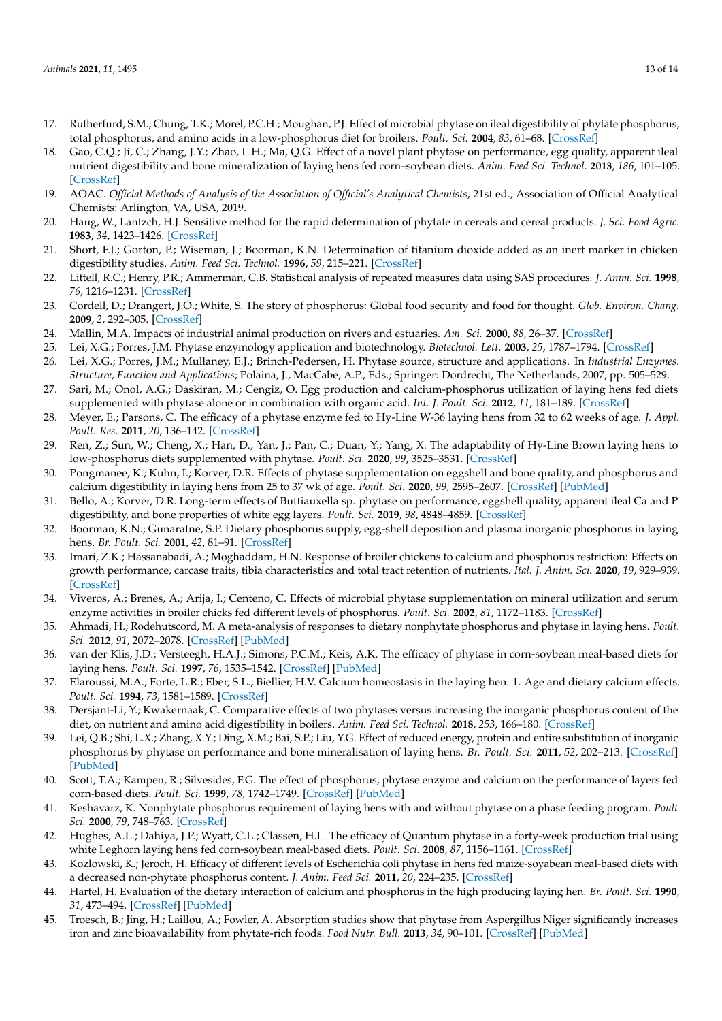- <span id="page-12-0"></span>17. Rutherfurd, S.M.; Chung, T.K.; Morel, P.C.H.; Moughan, P.J. Effect of microbial phytase on ileal digestibility of phytate phosphorus, total phosphorus, and amino acids in a low-phosphorus diet for broilers. *Poult. Sci.* **2004**, *83*, 61–68. [\[CrossRef\]](http://doi.org/10.1093/ps/83.1.61)
- <span id="page-12-1"></span>18. Gao, C.Q.; Ji, C.; Zhang, J.Y.; Zhao, L.H.; Ma, Q.G. Effect of a novel plant phytase on performance, egg quality, apparent ileal nutrient digestibility and bone mineralization of laying hens fed corn–soybean diets. *Anim. Feed Sci. Technol.* **2013**, *186*, 101–105. [\[CrossRef\]](http://doi.org/10.1016/j.anifeedsci.2013.09.011)
- <span id="page-12-2"></span>19. AOAC. Official Methods of Analysis of the Association of Official's Analytical Chemists, 21st ed.; Association of Official Analytical Chemists: Arlington, VA, USA, 2019.
- <span id="page-12-3"></span>20. Haug, W.; Lantzch, H.J. Sensitive method for the rapid determination of phytate in cereals and cereal products. *J. Sci. Food Agric.* **1983**, *34*, 1423–1426. [\[CrossRef\]](http://doi.org/10.1002/jsfa.2740341217)
- <span id="page-12-4"></span>21. Short, F.J.; Gorton, P.; Wiseman, J.; Boorman, K.N. Determination of titanium dioxide added as an inert marker in chicken digestibility studies. *Anim. Feed Sci. Technol.* **1996**, *59*, 215–221. [\[CrossRef\]](http://doi.org/10.1016/0377-8401(95)00916-7)
- <span id="page-12-5"></span>22. Littell, R.C.; Henry, P.R.; Ammerman, C.B. Statistical analysis of repeated measures data using SAS procedures. *J. Anim. Sci.* **1998**, *76*, 1216–1231. [\[CrossRef\]](http://doi.org/10.2527/1998.7641216x)
- <span id="page-12-6"></span>23. Cordell, D.; Drangert, J.O.; White, S. The story of phosphorus: Global food security and food for thought. *Glob. Environ. Chang.* **2009**, *2*, 292–305. [\[CrossRef\]](http://doi.org/10.1016/j.gloenvcha.2008.10.009)
- <span id="page-12-7"></span>24. Mallin, M.A. Impacts of industrial animal production on rivers and estuaries. *Am. Sci.* **2000**, *88*, 26–37. [\[CrossRef\]](http://doi.org/10.1511/2000.1.26)
- 25. Lei, X.G.; Porres, J.M. Phytase enzymology application and biotechnology. *Biotechnol. Lett.* **2003**, *25*, 1787–1794. [\[CrossRef\]](http://doi.org/10.1023/A:1026224101580)
- <span id="page-12-8"></span>26. Lei, X.G.; Porres, J.M.; Mullaney, E.J.; Brinch-Pedersen, H. Phytase source, structure and applications. In *Industrial Enzymes. Structure, Function and Applications*; Polaina, J., MacCabe, A.P., Eds.; Springer: Dordrecht, The Netherlands, 2007; pp. 505–529.
- <span id="page-12-9"></span>27. Sari, M.; Onol, A.G.; Daskiran, M.; Cengiz, O. Egg production and calcium-phosphorus utilization of laying hens fed diets supplemented with phytase alone or in combination with organic acid. *Int. J. Poult. Sci.* **2012**, *11*, 181–189. [\[CrossRef\]](http://doi.org/10.3923/ijps.2012.181.189)
- <span id="page-12-10"></span>28. Meyer, E.; Parsons, C. The efficacy of a phytase enzyme fed to Hy-Line W-36 laying hens from 32 to 62 weeks of age. *J. Appl. Poult. Res.* **2011**, *20*, 136–142. [\[CrossRef\]](http://doi.org/10.3382/japr.2010-00212)
- <span id="page-12-11"></span>29. Ren, Z.; Sun, W.; Cheng, X.; Han, D.; Yan, J.; Pan, C.; Duan, Y.; Yang, X. The adaptability of Hy-Line Brown laying hens to low-phosphorus diets supplemented with phytase. *Poult. Sci.* **2020**, *99*, 3525–3531. [\[CrossRef\]](http://doi.org/10.1016/j.psj.2020.03.033)
- <span id="page-12-12"></span>30. Pongmanee, K.; Kuhn, I.; Korver, D.R. Effects of phytase supplementation on eggshell and bone quality, and phosphorus and calcium digestibility in laying hens from 25 to 37 wk of age. *Poult. Sci.* **2020**, *99*, 2595–2607. [\[CrossRef\]](http://doi.org/10.1016/j.psj.2019.12.051) [\[PubMed\]](http://www.ncbi.nlm.nih.gov/pubmed/32359595)
- <span id="page-12-13"></span>31. Bello, A.; Korver, D.R. Long-term effects of Buttiauxella sp. phytase on performance, eggshell quality, apparent ileal Ca and P digestibility, and bone properties of white egg layers. *Poult. Sci.* **2019**, *98*, 4848–4859. [\[CrossRef\]](http://doi.org/10.3382/ps/pez220)
- <span id="page-12-14"></span>32. Boorman, K.N.; Gunaratne, S.P. Dietary phosphorus supply, egg-shell deposition and plasma inorganic phosphorus in laying hens. *Br. Poult. Sci.* **2001**, *42*, 81–91. [\[CrossRef\]](http://doi.org/10.1080/713655018)
- <span id="page-12-15"></span>33. Imari, Z.K.; Hassanabadi, A.; Moghaddam, H.N. Response of broiler chickens to calcium and phosphorus restriction: Effects on growth performance, carcase traits, tibia characteristics and total tract retention of nutrients. *Ital. J. Anim. Sci.* **2020**, *19*, 929–939. [\[CrossRef\]](http://doi.org/10.1080/1828051X.2020.1808101)
- <span id="page-12-16"></span>34. Viveros, A.; Brenes, A.; Arija, I.; Centeno, C. Effects of microbial phytase supplementation on mineral utilization and serum enzyme activities in broiler chicks fed different levels of phosphorus. *Poult. Sci.* **2002**, *81*, 1172–1183. [\[CrossRef\]](http://doi.org/10.1093/ps/81.8.1172)
- <span id="page-12-17"></span>35. Ahmadi, H.; Rodehutscord, M. A meta-analysis of responses to dietary nonphytate phosphorus and phytase in laying hens. *Poult. Sci.* **2012**, *91*, 2072–2078. [\[CrossRef\]](http://doi.org/10.3382/ps.2012-02193) [\[PubMed\]](http://www.ncbi.nlm.nih.gov/pubmed/22802206)
- <span id="page-12-18"></span>36. van der Klis, J.D.; Versteegh, H.A.J.; Simons, P.C.M.; Keis, A.K. The efficacy of phytase in corn-soybean meal-based diets for laying hens. *Poult. Sci.* **1997**, *76*, 1535–1542. [\[CrossRef\]](http://doi.org/10.1093/ps/76.11.1535) [\[PubMed\]](http://www.ncbi.nlm.nih.gov/pubmed/9355148)
- <span id="page-12-19"></span>37. Elaroussi, M.A.; Forte, L.R.; Eber, S.L.; Biellier, H.V. Calcium homeostasis in the laying hen. 1. Age and dietary calcium effects. *Poult. Sci.* **1994**, *73*, 1581–1589. [\[CrossRef\]](http://doi.org/10.3382/ps.0731581)
- <span id="page-12-20"></span>38. Dersjant-Li, Y.; Kwakernaak, C. Comparative effects of two phytases versus increasing the inorganic phosphorus content of the diet, on nutrient and amino acid digestibility in boilers. *Anim. Feed Sci. Technol.* **2018**, *253*, 166–180. [\[CrossRef\]](http://doi.org/10.1016/j.anifeedsci.2019.05.018)
- <span id="page-12-21"></span>39. Lei, Q.B.; Shi, L.X.; Zhang, X.Y.; Ding, X.M.; Bai, S.P.; Liu, Y.G. Effect of reduced energy, protein and entire substitution of inorganic phosphorus by phytase on performance and bone mineralisation of laying hens. *Br. Poult. Sci.* **2011**, *52*, 202–213. [\[CrossRef\]](http://doi.org/10.1080/00071668.2011.562875) [\[PubMed\]](http://www.ncbi.nlm.nih.gov/pubmed/21491243)
- <span id="page-12-22"></span>40. Scott, T.A.; Kampen, R.; Silvesides, F.G. The effect of phosphorus, phytase enzyme and calcium on the performance of layers fed corn-based diets. *Poult. Sci.* **1999**, *78*, 1742–1749. [\[CrossRef\]](http://doi.org/10.1093/ps/78.12.1742) [\[PubMed\]](http://www.ncbi.nlm.nih.gov/pubmed/10626650)
- 41. Keshavarz, K. Nonphytate phosphorus requirement of laying hens with and without phytase on a phase feeding program. *Poult Sci.* **2000**, *79*, 748–763. [\[CrossRef\]](http://doi.org/10.1093/ps/79.5.748)
- <span id="page-12-26"></span>42. Hughes, A.L.; Dahiya, J.P.; Wyatt, C.L.; Classen, H.L. The efficacy of Quantum phytase in a forty-week production trial using white Leghorn laying hens fed corn-soybean meal-based diets. *Poult. Sci.* **2008**, *87*, 1156–1161. [\[CrossRef\]](http://doi.org/10.3382/ps.2007-00505)
- <span id="page-12-23"></span>43. Kozlowski, K.; Jeroch, H. Efficacy of different levels of Escherichia coli phytase in hens fed maize-soyabean meal-based diets with a decreased non-phytate phosphorus content. *J. Anim. Feed Sci.* **2011**, *20*, 224–235. [\[CrossRef\]](http://doi.org/10.22358/jafs/66173/2011)
- <span id="page-12-24"></span>44. Hartel, H. Evaluation of the dietary interaction of calcium and phosphorus in the high producing laying hen. *Br. Poult. Sci.* **1990**, *31*, 473–494. [\[CrossRef\]](http://doi.org/10.1080/00071669008417280) [\[PubMed\]](http://www.ncbi.nlm.nih.gov/pubmed/2245345)
- <span id="page-12-25"></span>45. Troesch, B.; Jing, H.; Laillou, A.; Fowler, A. Absorption studies show that phytase from Aspergillus Niger significantly increases iron and zinc bioavailability from phytate-rich foods. *Food Nutr. Bull.* **2013**, *34*, 90–101. [\[CrossRef\]](http://doi.org/10.1177/15648265130342S111) [\[PubMed\]](http://www.ncbi.nlm.nih.gov/pubmed/24050000)